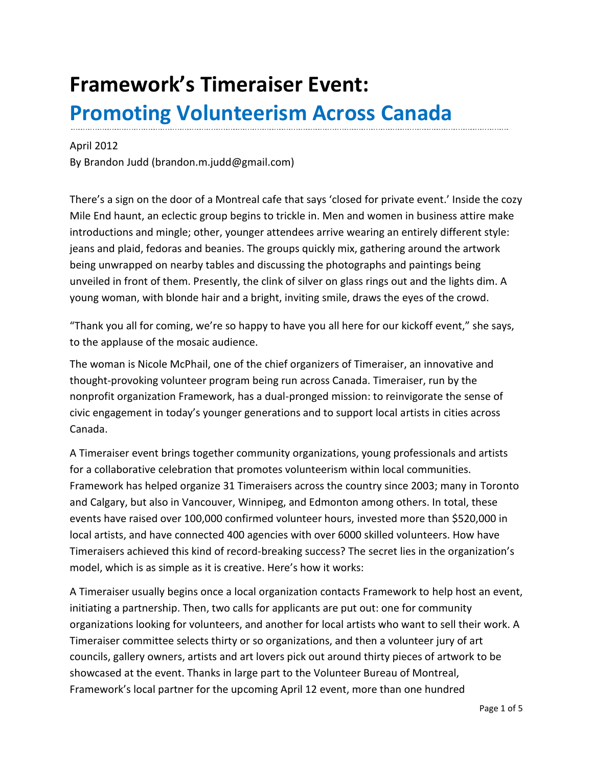## **Framework's Timeraiser Event: Promoting Volunteerism Across Canada**

## April 2012

By Brandon Judd [\(brandon.m.judd@gmail.com\)](mailto:brandon.m.judd@gmail.com)

There's a sign on the door of a Montreal cafe that says 'closed for private event.' Inside the cozy Mile End haunt, an eclectic group begins to trickle in. Men and women in business attire make introductions and mingle; other, younger attendees arrive wearing an entirely different style: jeans and plaid, fedoras and beanies. The groups quickly mix, gathering around the artwork being unwrapped on nearby tables and discussing the photographs and paintings being unveiled in front of them. Presently, the clink of silver on glass rings out and the lights dim. A young woman, with blonde hair and a bright, inviting smile, draws the eyes of the crowd.

"Thank you all for coming, we're so happy to have you all here for our kickoff event," she says, to the applause of the mosaic audience.

The woman is Nicole McPhail, one of the chief organizers of Timeraiser, an innovative and thought-provoking volunteer program being run across Canada. Timeraiser, run by the nonprofit organization Framework, has a dual-pronged mission: to reinvigorate the sense of civic engagement in today's younger generations and to support local artists in cities across Canada.

A Timeraiser event brings together community organizations, young professionals and artists for a collaborative celebration that promotes volunteerism within local communities. Framework has helped organize 31 Timeraisers across the country since 2003; many in Toronto and Calgary, but also in Vancouver, Winnipeg, and Edmonton among others. In total, these events have raised over 100,000 confirmed volunteer hours, invested more than \$520,000 in local artists, and have connected 400 agencies with over 6000 skilled volunteers. How have Timeraisers achieved this kind of record-breaking success? The secret lies in the organization's model, which is as simple as it is creative. Here's how it works:

A Timeraiser usually begins once a local organization contacts Framework to help host an event, initiating a partnership. Then, two calls for applicants are put out: one for community organizations looking for volunteers, and another for local artists who want to sell their work. A Timeraiser committee selects thirty or so organizations, and then a volunteer jury of art councils, gallery owners, artists and art lovers pick out around thirty pieces of artwork to be showcased at the event. Thanks in large part to the Volunteer Bureau of Montreal, Framework's local partner for the upcoming April 12 event, more than one hundred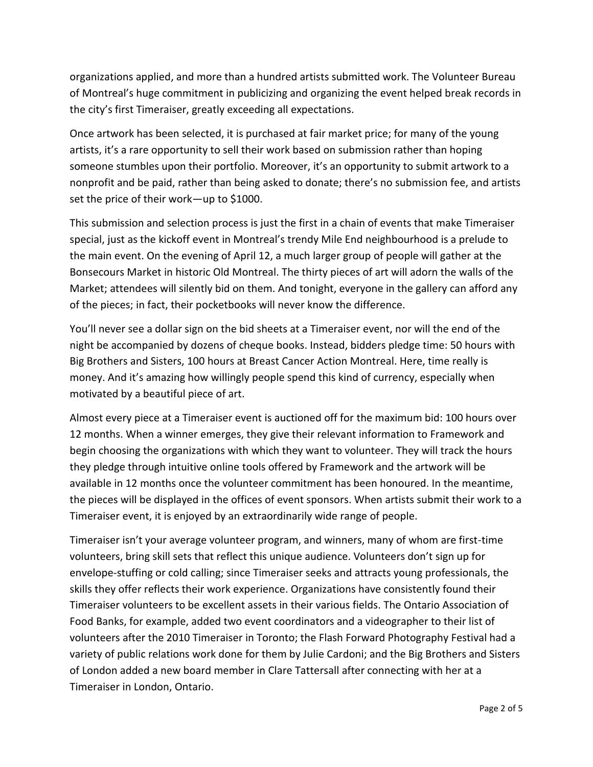organizations applied, and more than a hundred artists submitted work. The Volunteer Bureau of Montreal's huge commitment in publicizing and organizing the event helped break records in the city's first Timeraiser, greatly exceeding all expectations.

Once artwork has been selected, it is purchased at fair market price; for many of the young artists, it's a rare opportunity to sell their work based on submission rather than hoping someone stumbles upon their portfolio. Moreover, it's an opportunity to submit artwork to a nonprofit and be paid, rather than being asked to donate; there's no submission fee, and artists set the price of their work—up to \$1000.

This submission and selection process is just the first in a chain of events that make Timeraiser special, just as the kickoff event in Montreal's trendy Mile End neighbourhood is a prelude to the main event. On the evening of April 12, a much larger group of people will gather at the Bonsecours Market in historic Old Montreal. The thirty pieces of art will adorn the walls of the Market; attendees will silently bid on them. And tonight, everyone in the gallery can afford any of the pieces; in fact, their pocketbooks will never know the difference.

You'll never see a dollar sign on the bid sheets at a Timeraiser event, nor will the end of the night be accompanied by dozens of cheque books. Instead, bidders pledge time: 50 hours with Big Brothers and Sisters, 100 hours at Breast Cancer Action Montreal. Here, time really is money. And it's amazing how willingly people spend this kind of currency, especially when motivated by a beautiful piece of art.

Almost every piece at a Timeraiser event is auctioned off for the maximum bid: 100 hours over 12 months. When a winner emerges, they give their relevant information to Framework and begin choosing the organizations with which they want to volunteer. They will track the hours they pledge through intuitive online tools offered by Framework and the artwork will be available in 12 months once the volunteer commitment has been honoured. In the meantime, the pieces will be displayed in the offices of event sponsors. When artists submit their work to a Timeraiser event, it is enjoyed by an extraordinarily wide range of people.

Timeraiser isn't your average volunteer program, and winners, many of whom are first-time volunteers, bring skill sets that reflect this unique audience. Volunteers don't sign up for envelope-stuffing or cold calling; since Timeraiser seeks and attracts young professionals, the skills they offer reflects their work experience. Organizations have consistently found their Timeraiser volunteers to be excellent assets in their various fields. The Ontario Association of Food Banks, for example, added two event coordinators and a videographer to their list of volunteers after the 2010 Timeraiser in Toronto; the Flash Forward Photography Festival had a variety of public relations work done for them by Julie Cardoni; and the Big Brothers and Sisters of London added a new board member in Clare Tattersall after connecting with her at a Timeraiser in London, Ontario.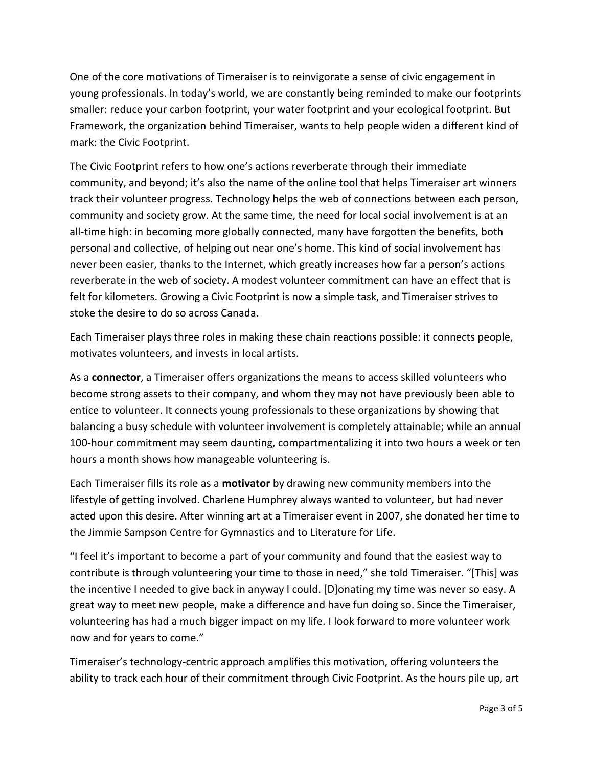One of the core motivations of Timeraiser is to reinvigorate a sense of civic engagement in young professionals. In today's world, we are constantly being reminded to make our footprints smaller: reduce your carbon footprint, your water footprint and your ecological footprint. But Framework, the organization behind Timeraiser, wants to help people widen a different kind of mark: the Civic Footprint.

The Civic Footprint refers to how one's actions reverberate through their immediate community, and beyond; it's also the name of the online tool that helps Timeraiser art winners track their volunteer progress. Technology helps the web of connections between each person, community and society grow. At the same time, the need for local social involvement is at an all-time high: in becoming more globally connected, many have forgotten the benefits, both personal and collective, of helping out near one's home. This kind of social involvement has never been easier, thanks to the Internet, which greatly increases how far a person's actions reverberate in the web of society. A modest volunteer commitment can have an effect that is felt for kilometers. Growing a Civic Footprint is now a simple task, and Timeraiser strives to stoke the desire to do so across Canada.

Each Timeraiser plays three roles in making these chain reactions possible: it connects people, motivates volunteers, and invests in local artists.

As a **connector**, a Timeraiser offers organizations the means to access skilled volunteers who become strong assets to their company, and whom they may not have previously been able to entice to volunteer. It connects young professionals to these organizations by showing that balancing a busy schedule with volunteer involvement is completely attainable; while an annual 100-hour commitment may seem daunting, compartmentalizing it into two hours a week or ten hours a month shows how manageable volunteering is.

Each Timeraiser fills its role as a **motivator** by drawing new community members into the lifestyle of getting involved. Charlene Humphrey always wanted to volunteer, but had never acted upon this desire. After winning art at a Timeraiser event in 2007, she donated her time to the Jimmie Sampson Centre for Gymnastics and to Literature for Life.

"I feel it's important to become a part of your community and found that the easiest way to contribute is through volunteering your time to those in need," she told Timeraiser. "[This] was the incentive I needed to give back in anyway I could. [D]onating my time was never so easy. A great way to meet new people, make a difference and have fun doing so. Since the Timeraiser, volunteering has had a much bigger impact on my life. I look forward to more volunteer work now and for years to come."

Timeraiser's technology-centric approach amplifies this motivation, offering volunteers the ability to track each hour of their commitment through Civic Footprint. As the hours pile up, art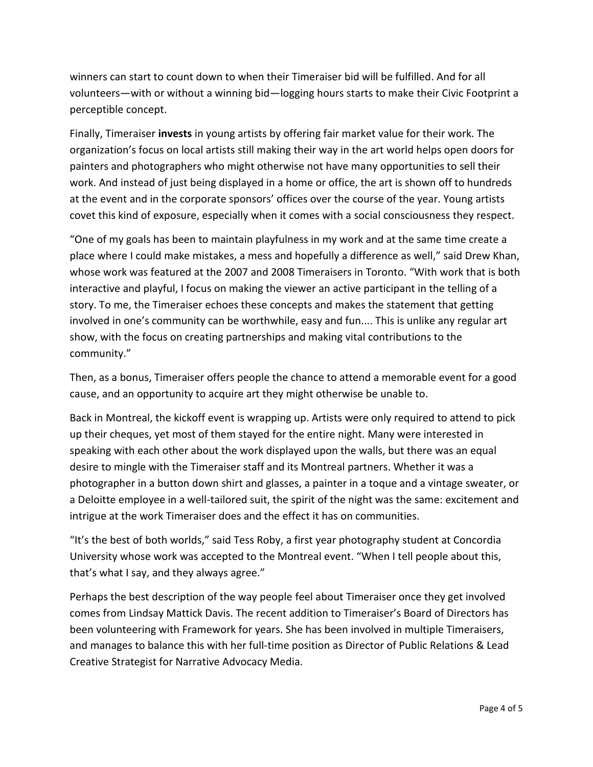winners can start to count down to when their Timeraiser bid will be fulfilled. And for all volunteers—with or without a winning bid—logging hours starts to make their Civic Footprint a perceptible concept.

Finally, Timeraiser **invests** in young artists by offering fair market value for their work. The organization's focus on local artists still making their way in the art world helps open doors for painters and photographers who might otherwise not have many opportunities to sell their work. And instead of just being displayed in a home or office, the art is shown off to hundreds at the event and in the corporate sponsors' offices over the course of the year. Young artists covet this kind of exposure, especially when it comes with a social consciousness they respect.

"One of my goals has been to maintain playfulness in my work and at the same time create a place where I could make mistakes, a mess and hopefully a difference as well," said Drew Khan, whose work was featured at the 2007 and 2008 Timeraisers in Toronto. "With work that is both interactive and playful, I focus on making the viewer an active participant in the telling of a story. To me, the Timeraiser echoes these concepts and makes the statement that getting involved in one's community can be worthwhile, easy and fun.... This is unlike any regular art show, with the focus on creating partnerships and making vital contributions to the community."

Then, as a bonus, Timeraiser offers people the chance to attend a memorable event for a good cause, and an opportunity to acquire art they might otherwise be unable to.

Back in Montreal, the kickoff event is wrapping up. Artists were only required to attend to pick up their cheques, yet most of them stayed for the entire night. Many were interested in speaking with each other about the work displayed upon the walls, but there was an equal desire to mingle with the Timeraiser staff and its Montreal partners. Whether it was a photographer in a button down shirt and glasses, a painter in a toque and a vintage sweater, or a Deloitte employee in a well-tailored suit, the spirit of the night was the same: excitement and intrigue at the work Timeraiser does and the effect it has on communities.

"It's the best of both worlds," said Tess Roby, a first year photography student at Concordia University whose work was accepted to the Montreal event. "When I tell people about this, that's what I say, and they always agree."

Perhaps the best description of the way people feel about Timeraiser once they get involved comes from Lindsay Mattick Davis. The recent addition to Timeraiser's Board of Directors has been volunteering with Framework for years. She has been involved in multiple Timeraisers, and manages to balance this with her full-time position as Director of Public Relations & Lead Creative Strategist for Narrative Advocacy Media.